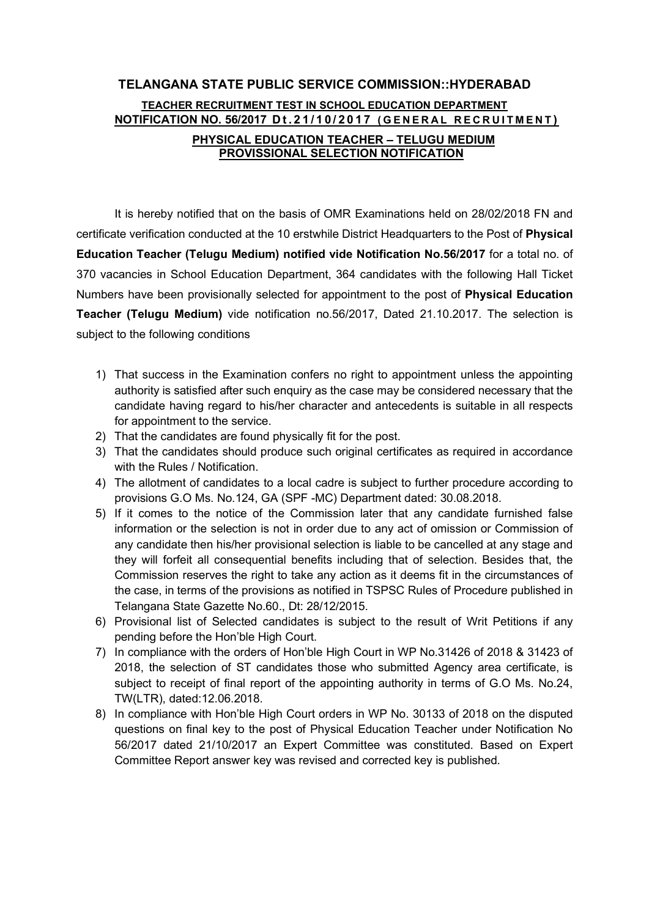## TELANGANA STATE PUBLIC SERVICE COMMISSION::HYDERABAD TEACHER RECRUITMENT TEST IN SCHOOL EDUCATION DEPARTMENT NOTIFICATION NO. 56/2017 Dt.21/10/2017 (GENERAL RECRUITMENT) PHYSICAL EDUCATION TEACHER – TELUGU MEDIUM PROVISSIONAL SELECTION NOTIFICATION

It is hereby notified that on the basis of OMR Examinations held on 28/02/2018 FN and certificate verification conducted at the 10 erstwhile District Headquarters to the Post of Physical Education Teacher (Telugu Medium) notified vide Notification No.56/2017 for a total no. of 370 vacancies in School Education Department, 364 candidates with the following Hall Ticket Numbers have been provisionally selected for appointment to the post of Physical Education Teacher (Telugu Medium) vide notification no.56/2017, Dated 21.10.2017. The selection is subject to the following conditions

- 1) That success in the Examination confers no right to appointment unless the appointing authority is satisfied after such enquiry as the case may be considered necessary that the candidate having regard to his/her character and antecedents is suitable in all respects for appointment to the service.
- 2) That the candidates are found physically fit for the post.
- 3) That the candidates should produce such original certificates as required in accordance with the Rules / Notification.
- 4) The allotment of candidates to a local cadre is subject to further procedure according to provisions G.O Ms. No.124, GA (SPF -MC) Department dated: 30.08.2018.
- 5) If it comes to the notice of the Commission later that any candidate furnished false information or the selection is not in order due to any act of omission or Commission of any candidate then his/her provisional selection is liable to be cancelled at any stage and they will forfeit all consequential benefits including that of selection. Besides that, the Commission reserves the right to take any action as it deems fit in the circumstances of the case, in terms of the provisions as notified in TSPSC Rules of Procedure published in Telangana State Gazette No.60., Dt: 28/12/2015.
- 6) Provisional list of Selected candidates is subject to the result of Writ Petitions if any pending before the Hon'ble High Court.
- 7) In compliance with the orders of Hon'ble High Court in WP No.31426 of 2018 & 31423 of 2018, the selection of ST candidates those who submitted Agency area certificate, is subject to receipt of final report of the appointing authority in terms of G.O Ms. No.24, TW(LTR), dated:12.06.2018.
- 8) In compliance with Hon'ble High Court orders in WP No. 30133 of 2018 on the disputed questions on final key to the post of Physical Education Teacher under Notification No 56/2017 dated 21/10/2017 an Expert Committee was constituted. Based on Expert Committee Report answer key was revised and corrected key is published.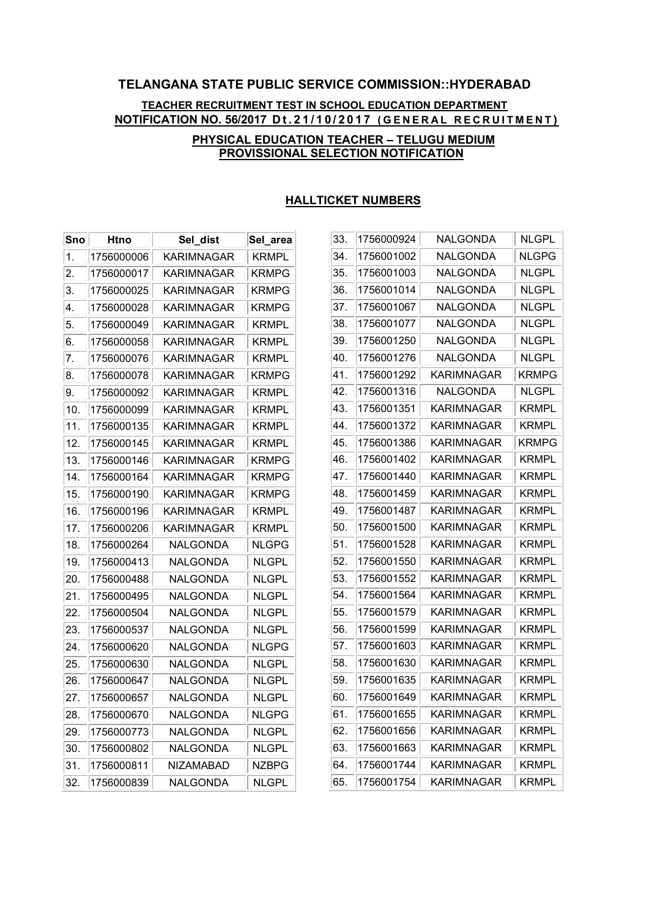# TELANGANA STATE PUBLIC SERVICE COMMISSION::HYDERABAD TEACHER RECRUITMENT TEST IN SCHOOL EDUCATION DEPARTMENT NOTIFICATION NO. 56/2017 Dt.21/10/2017 (GENERAL RECRUITMENT)

#### PHYSICAL EDUCATION TEACHER – TELUGU MEDIUM PROVISSIONAL SELECTION NOTIFICATION

| Sno              | <b>Htno</b> | Sel dist   | Sel_area     |
|------------------|-------------|------------|--------------|
| 1.               | 1756000006  | KARIMNAGAR | KRMPL        |
| $\overline{2}$ . | 1756000017  | KARIMNAGAR | KRMPG        |
| 3.               | 1756000025  | KARIMNAGAR | <b>KRMPG</b> |
| 4.               | 1756000028  | KARIMNAGAR | <b>KRMPG</b> |
| 5.               | 1756000049  | KARIMNAGAR | KRMPL        |
| 6.               | 1756000058  | KARIMNAGAR | KRMPL        |
| 7.               | 1756000076  | KARIMNAGAR | KRMPL        |
| 8.               | 1756000078  | KARIMNAGAR | KRMPG        |
| 9.               | 1756000092  | KARIMNAGAR | KRMPL        |
| 10.              | 1756000099  | KARIMNAGAR | KRMPL        |
| 11.              | 1756000135  | KARIMNAGAR | KRMPL        |
| 12.              | 1756000145  | KARIMNAGAR | KRMPL        |
| 13.              | 1756000146  | KARIMNAGAR | KRMPG        |
| 14.              | 1756000164  | KARIMNAGAR | KRMPG        |
| 15.              | 1756000190  | KARIMNAGAR | <b>KRMPG</b> |
| 16.              | 1756000196  | KARIMNAGAR | KRMPL        |
| 17.              | 1756000206  | KARIMNAGAR | KRMPL        |
| 18.              | 1756000264  | NALGONDA   | NLGPG        |
| 19.              | 1756000413  | NALGONDA   | NLGPL        |
| 20.              | 1756000488  | NALGONDA   | NLGPL        |
| 21.              | 1756000495  | NALGONDA   | NLGPL        |
| 22.              | 1756000504  | NALGONDA   | <b>NLGPL</b> |
| 23.              | 1756000537  | NALGONDA   | NLGPL        |
| 24.              | 1756000620  | NALGONDA   | NLGPG        |
| 25.              | 1756000630  | NALGONDA   | NLGPL        |
| 26.              | 1756000647  | NALGONDA   | NLGPL        |
| 27.              | 1756000657  | NALGONDA   | NLGPL        |
| 28.              | 1756000670  | NALGONDA   | NLGPG        |
| 29.              | 1756000773  | NALGONDA   | NLGPL        |
| 30.              | 1756000802  | NALGONDA   | NLGPL        |
| 31.              | 1756000811  | NIZAMABAD  | <b>NZBPG</b> |
| 32.              | 1756000839  | NALGONDA   | NLGPL        |

### HALLTICKET NUMBERS

| 33. | 1756000924 | NALGONDA   | <b>NLGPL</b> |
|-----|------------|------------|--------------|
| 34. | 1756001002 | NALGONDA   | NLGPG        |
| 35. | 1756001003 | NALGONDA   | NLGPL        |
| 36. | 1756001014 | NALGONDA   | NLGPL        |
| 37. | 1756001067 | NALGONDA   | NLGPL        |
| 38. | 1756001077 | NALGONDA   | NLGPL        |
| 39. | 1756001250 | NALGONDA   | NLGPL        |
| 40. | 1756001276 | NALGONDA   | NLGPL        |
| 41. | 1756001292 | KARIMNAGAR | KRMPG        |
| 42. | 1756001316 | NALGONDA   | NLGPL        |
| 43. | 1756001351 | KARIMNAGAR | KRMPL        |
| 44. | 1756001372 | KARIMNAGAR | KRMPL        |
| 45. | 1756001386 | KARIMNAGAR | KRMPG        |
| 46. | 1756001402 | KARIMNAGAR | KRMPL        |
| 47. | 1756001440 | KARIMNAGAR | KRMPL        |
| 48. | 1756001459 | KARIMNAGAR | KRMPL        |
| 49. | 1756001487 | KARIMNAGAR | KRMPL        |
| 50. | 1756001500 | KARIMNAGAR | KRMPL        |
| 51. | 1756001528 | KARIMNAGAR | KRMPL        |
| 52. | 1756001550 | KARIMNAGAR | <b>KRMPL</b> |
| 53. | 1756001552 | KARIMNAGAR | KRMPL        |
| 54. | 1756001564 | KARIMNAGAR | KRMPL        |
| 55. | 1756001579 | KARIMNAGAR | KRMPL        |
| 56. | 1756001599 | KARIMNAGAR | KRMPL        |
| 57. | 1756001603 | KARIMNAGAR | KRMPL        |
| 58. | 1756001630 | KARIMNAGAR | KRMPL        |
| 59. | 1756001635 | KARIMNAGAR | KRMPL        |
| 60. | 1756001649 | KARIMNAGAR | KRMPL        |
| 61. | 1756001655 | KARIMNAGAR | KRMPL        |
| 62. | 1756001656 | KARIMNAGAR | KRMPL        |
| 63. | 1756001663 | KARIMNAGAR | KRMPL        |
| 64. | 1756001744 | KARIMNAGAR | KRMPL        |
| 65. | 1756001754 | KARIMNAGAR | KRMPL        |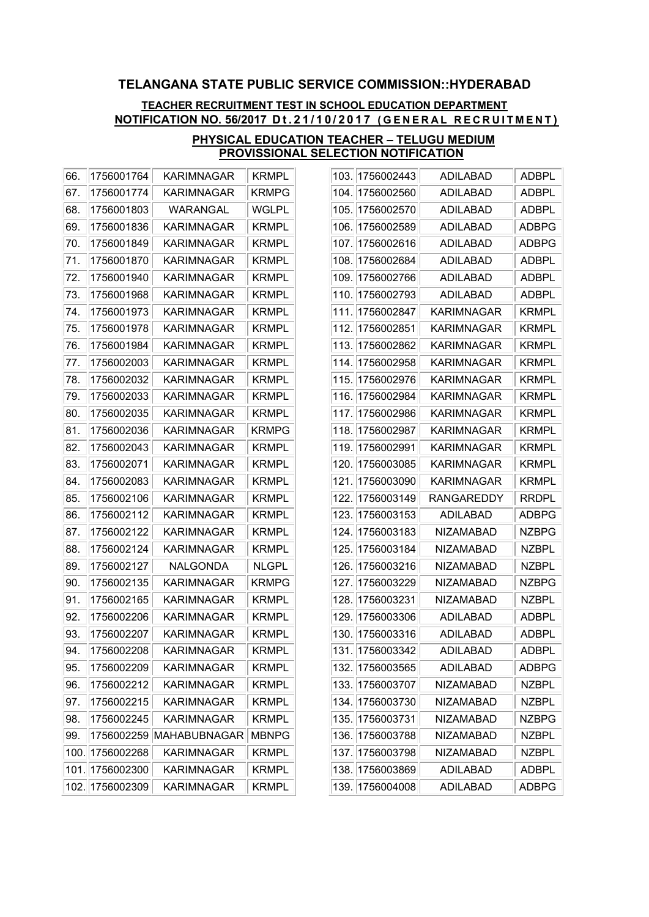### TEACHER RECRUITMENT TEST IN SCHOOL EDUCATION DEPARTMENT NOTIFICATION NO. 56/2017 Dt.21/10/2017 (GENERAL RECRUITMENT)

| 67.<br>1756001774<br>KARIMNAGAR<br><b>KRMPG</b><br>WGLPL<br>68.<br>1756001803<br>WARANGAL<br>69.<br>1756001836<br><b>KRMPL</b><br>KARIMNAGAR<br>70.<br>1756001849<br><b>KRMPL</b><br>KARIMNAGAR<br>71.<br><b>KRMPL</b><br>1756001870<br>KARIMNAGAR<br><b>KRMPL</b><br>72.<br>1756001940<br>KARIMNAGAR<br>73.<br>1756001968<br>KARIMNAGAR<br>KRMPL<br>74.<br>1756001973<br><b>KRMPL</b><br>KARIMNAGAR<br>75.<br>1756001978<br>KARIMNAGAR<br>KRMPL<br>76.<br>1756001984<br>KARIMNAGAR<br><b>KRMPL</b><br>77.<br>1756002003<br>KARIMNAGAR<br><b>KRMPL</b><br><b>KRMPL</b><br>78.<br>1756002032<br>KARIMNAGAR<br>79.<br>1756002033<br>KARIMNAGAR<br><b>KRMPL</b><br>1756002035<br>KARIMNAGAR<br>KRMPL<br>80.<br><b>KRMPG</b><br>81.<br>1756002036<br>KARIMNAGAR<br>82.<br>1756002043<br>KARIMNAGAR<br><b>KRMPL</b><br>83.<br>1756002071<br>KARIMNAGAR<br>KRMPL<br>84.<br>1756002083<br><b>KRMPL</b><br>KARIMNAGAR<br>85.<br>1756002106<br>KARIMNAGAR<br>KRMPL<br>86.<br>1756002112<br>KARIMNAGAR<br>KRMPL<br>87.<br>1756002122<br>KARIMNAGAR<br><b>KRMPL</b><br><b>KRMPL</b><br>88.<br>1756002124<br>KARIMNAGAR<br>89.<br>1756002127<br><b>NLGPL</b><br>NALGONDA<br>1756002135<br>KARIMNAGAR<br><b>KRMPG</b><br>90.<br>1756002165<br><b>KRMPL</b><br>91.<br>KARIMNAGAR<br>92.<br>1756002206<br>KARIMNAGAR<br>KRMPL<br>93.<br>1756002207<br><b>KRMPL</b><br>KARIMNAGAR<br>94.<br>1756002208<br>KARIMNAGAR<br><b>KRMPL</b><br>95.<br>1756002209<br>KARIMNAGAR<br><b>KRMPL</b><br>1756002212<br><b>KRMPL</b><br>96.<br>KARIMNAGAR<br>1756002215<br>KARIMNAGAR<br><b>KRMPL</b><br>97.<br>1756002245<br>KARIMNAGAR<br><b>KRMPL</b><br>98.<br>99.<br>1756002259<br>MAHABUBNAGAR<br><b>MBNPG</b><br>100.<br>1756002268<br>KARIMNAGAR<br><b>KRMPL</b><br>101.<br>1756002300<br>KARIMNAGAR<br><b>KRMPL</b><br>102.<br>1756002309<br>KARIMNAGAR<br>KRMPL | 66. | 1756001764 | KARIMNAGAR | KRMPL |
|--------------------------------------------------------------------------------------------------------------------------------------------------------------------------------------------------------------------------------------------------------------------------------------------------------------------------------------------------------------------------------------------------------------------------------------------------------------------------------------------------------------------------------------------------------------------------------------------------------------------------------------------------------------------------------------------------------------------------------------------------------------------------------------------------------------------------------------------------------------------------------------------------------------------------------------------------------------------------------------------------------------------------------------------------------------------------------------------------------------------------------------------------------------------------------------------------------------------------------------------------------------------------------------------------------------------------------------------------------------------------------------------------------------------------------------------------------------------------------------------------------------------------------------------------------------------------------------------------------------------------------------------------------------------------------------------------------------------------------------------------------------------------------------------------------------------------------------------|-----|------------|------------|-------|
|                                                                                                                                                                                                                                                                                                                                                                                                                                                                                                                                                                                                                                                                                                                                                                                                                                                                                                                                                                                                                                                                                                                                                                                                                                                                                                                                                                                                                                                                                                                                                                                                                                                                                                                                                                                                                                            |     |            |            |       |
|                                                                                                                                                                                                                                                                                                                                                                                                                                                                                                                                                                                                                                                                                                                                                                                                                                                                                                                                                                                                                                                                                                                                                                                                                                                                                                                                                                                                                                                                                                                                                                                                                                                                                                                                                                                                                                            |     |            |            |       |
|                                                                                                                                                                                                                                                                                                                                                                                                                                                                                                                                                                                                                                                                                                                                                                                                                                                                                                                                                                                                                                                                                                                                                                                                                                                                                                                                                                                                                                                                                                                                                                                                                                                                                                                                                                                                                                            |     |            |            |       |
|                                                                                                                                                                                                                                                                                                                                                                                                                                                                                                                                                                                                                                                                                                                                                                                                                                                                                                                                                                                                                                                                                                                                                                                                                                                                                                                                                                                                                                                                                                                                                                                                                                                                                                                                                                                                                                            |     |            |            |       |
|                                                                                                                                                                                                                                                                                                                                                                                                                                                                                                                                                                                                                                                                                                                                                                                                                                                                                                                                                                                                                                                                                                                                                                                                                                                                                                                                                                                                                                                                                                                                                                                                                                                                                                                                                                                                                                            |     |            |            |       |
|                                                                                                                                                                                                                                                                                                                                                                                                                                                                                                                                                                                                                                                                                                                                                                                                                                                                                                                                                                                                                                                                                                                                                                                                                                                                                                                                                                                                                                                                                                                                                                                                                                                                                                                                                                                                                                            |     |            |            |       |
|                                                                                                                                                                                                                                                                                                                                                                                                                                                                                                                                                                                                                                                                                                                                                                                                                                                                                                                                                                                                                                                                                                                                                                                                                                                                                                                                                                                                                                                                                                                                                                                                                                                                                                                                                                                                                                            |     |            |            |       |
|                                                                                                                                                                                                                                                                                                                                                                                                                                                                                                                                                                                                                                                                                                                                                                                                                                                                                                                                                                                                                                                                                                                                                                                                                                                                                                                                                                                                                                                                                                                                                                                                                                                                                                                                                                                                                                            |     |            |            |       |
|                                                                                                                                                                                                                                                                                                                                                                                                                                                                                                                                                                                                                                                                                                                                                                                                                                                                                                                                                                                                                                                                                                                                                                                                                                                                                                                                                                                                                                                                                                                                                                                                                                                                                                                                                                                                                                            |     |            |            |       |
|                                                                                                                                                                                                                                                                                                                                                                                                                                                                                                                                                                                                                                                                                                                                                                                                                                                                                                                                                                                                                                                                                                                                                                                                                                                                                                                                                                                                                                                                                                                                                                                                                                                                                                                                                                                                                                            |     |            |            |       |
|                                                                                                                                                                                                                                                                                                                                                                                                                                                                                                                                                                                                                                                                                                                                                                                                                                                                                                                                                                                                                                                                                                                                                                                                                                                                                                                                                                                                                                                                                                                                                                                                                                                                                                                                                                                                                                            |     |            |            |       |
|                                                                                                                                                                                                                                                                                                                                                                                                                                                                                                                                                                                                                                                                                                                                                                                                                                                                                                                                                                                                                                                                                                                                                                                                                                                                                                                                                                                                                                                                                                                                                                                                                                                                                                                                                                                                                                            |     |            |            |       |
|                                                                                                                                                                                                                                                                                                                                                                                                                                                                                                                                                                                                                                                                                                                                                                                                                                                                                                                                                                                                                                                                                                                                                                                                                                                                                                                                                                                                                                                                                                                                                                                                                                                                                                                                                                                                                                            |     |            |            |       |
|                                                                                                                                                                                                                                                                                                                                                                                                                                                                                                                                                                                                                                                                                                                                                                                                                                                                                                                                                                                                                                                                                                                                                                                                                                                                                                                                                                                                                                                                                                                                                                                                                                                                                                                                                                                                                                            |     |            |            |       |
|                                                                                                                                                                                                                                                                                                                                                                                                                                                                                                                                                                                                                                                                                                                                                                                                                                                                                                                                                                                                                                                                                                                                                                                                                                                                                                                                                                                                                                                                                                                                                                                                                                                                                                                                                                                                                                            |     |            |            |       |
|                                                                                                                                                                                                                                                                                                                                                                                                                                                                                                                                                                                                                                                                                                                                                                                                                                                                                                                                                                                                                                                                                                                                                                                                                                                                                                                                                                                                                                                                                                                                                                                                                                                                                                                                                                                                                                            |     |            |            |       |
|                                                                                                                                                                                                                                                                                                                                                                                                                                                                                                                                                                                                                                                                                                                                                                                                                                                                                                                                                                                                                                                                                                                                                                                                                                                                                                                                                                                                                                                                                                                                                                                                                                                                                                                                                                                                                                            |     |            |            |       |
|                                                                                                                                                                                                                                                                                                                                                                                                                                                                                                                                                                                                                                                                                                                                                                                                                                                                                                                                                                                                                                                                                                                                                                                                                                                                                                                                                                                                                                                                                                                                                                                                                                                                                                                                                                                                                                            |     |            |            |       |
|                                                                                                                                                                                                                                                                                                                                                                                                                                                                                                                                                                                                                                                                                                                                                                                                                                                                                                                                                                                                                                                                                                                                                                                                                                                                                                                                                                                                                                                                                                                                                                                                                                                                                                                                                                                                                                            |     |            |            |       |
|                                                                                                                                                                                                                                                                                                                                                                                                                                                                                                                                                                                                                                                                                                                                                                                                                                                                                                                                                                                                                                                                                                                                                                                                                                                                                                                                                                                                                                                                                                                                                                                                                                                                                                                                                                                                                                            |     |            |            |       |
|                                                                                                                                                                                                                                                                                                                                                                                                                                                                                                                                                                                                                                                                                                                                                                                                                                                                                                                                                                                                                                                                                                                                                                                                                                                                                                                                                                                                                                                                                                                                                                                                                                                                                                                                                                                                                                            |     |            |            |       |
|                                                                                                                                                                                                                                                                                                                                                                                                                                                                                                                                                                                                                                                                                                                                                                                                                                                                                                                                                                                                                                                                                                                                                                                                                                                                                                                                                                                                                                                                                                                                                                                                                                                                                                                                                                                                                                            |     |            |            |       |
|                                                                                                                                                                                                                                                                                                                                                                                                                                                                                                                                                                                                                                                                                                                                                                                                                                                                                                                                                                                                                                                                                                                                                                                                                                                                                                                                                                                                                                                                                                                                                                                                                                                                                                                                                                                                                                            |     |            |            |       |
|                                                                                                                                                                                                                                                                                                                                                                                                                                                                                                                                                                                                                                                                                                                                                                                                                                                                                                                                                                                                                                                                                                                                                                                                                                                                                                                                                                                                                                                                                                                                                                                                                                                                                                                                                                                                                                            |     |            |            |       |
|                                                                                                                                                                                                                                                                                                                                                                                                                                                                                                                                                                                                                                                                                                                                                                                                                                                                                                                                                                                                                                                                                                                                                                                                                                                                                                                                                                                                                                                                                                                                                                                                                                                                                                                                                                                                                                            |     |            |            |       |
|                                                                                                                                                                                                                                                                                                                                                                                                                                                                                                                                                                                                                                                                                                                                                                                                                                                                                                                                                                                                                                                                                                                                                                                                                                                                                                                                                                                                                                                                                                                                                                                                                                                                                                                                                                                                                                            |     |            |            |       |
|                                                                                                                                                                                                                                                                                                                                                                                                                                                                                                                                                                                                                                                                                                                                                                                                                                                                                                                                                                                                                                                                                                                                                                                                                                                                                                                                                                                                                                                                                                                                                                                                                                                                                                                                                                                                                                            |     |            |            |       |
|                                                                                                                                                                                                                                                                                                                                                                                                                                                                                                                                                                                                                                                                                                                                                                                                                                                                                                                                                                                                                                                                                                                                                                                                                                                                                                                                                                                                                                                                                                                                                                                                                                                                                                                                                                                                                                            |     |            |            |       |
|                                                                                                                                                                                                                                                                                                                                                                                                                                                                                                                                                                                                                                                                                                                                                                                                                                                                                                                                                                                                                                                                                                                                                                                                                                                                                                                                                                                                                                                                                                                                                                                                                                                                                                                                                                                                                                            |     |            |            |       |
|                                                                                                                                                                                                                                                                                                                                                                                                                                                                                                                                                                                                                                                                                                                                                                                                                                                                                                                                                                                                                                                                                                                                                                                                                                                                                                                                                                                                                                                                                                                                                                                                                                                                                                                                                                                                                                            |     |            |            |       |
|                                                                                                                                                                                                                                                                                                                                                                                                                                                                                                                                                                                                                                                                                                                                                                                                                                                                                                                                                                                                                                                                                                                                                                                                                                                                                                                                                                                                                                                                                                                                                                                                                                                                                                                                                                                                                                            |     |            |            |       |
|                                                                                                                                                                                                                                                                                                                                                                                                                                                                                                                                                                                                                                                                                                                                                                                                                                                                                                                                                                                                                                                                                                                                                                                                                                                                                                                                                                                                                                                                                                                                                                                                                                                                                                                                                                                                                                            |     |            |            |       |
|                                                                                                                                                                                                                                                                                                                                                                                                                                                                                                                                                                                                                                                                                                                                                                                                                                                                                                                                                                                                                                                                                                                                                                                                                                                                                                                                                                                                                                                                                                                                                                                                                                                                                                                                                                                                                                            |     |            |            |       |
|                                                                                                                                                                                                                                                                                                                                                                                                                                                                                                                                                                                                                                                                                                                                                                                                                                                                                                                                                                                                                                                                                                                                                                                                                                                                                                                                                                                                                                                                                                                                                                                                                                                                                                                                                                                                                                            |     |            |            |       |
|                                                                                                                                                                                                                                                                                                                                                                                                                                                                                                                                                                                                                                                                                                                                                                                                                                                                                                                                                                                                                                                                                                                                                                                                                                                                                                                                                                                                                                                                                                                                                                                                                                                                                                                                                                                                                                            |     |            |            |       |
|                                                                                                                                                                                                                                                                                                                                                                                                                                                                                                                                                                                                                                                                                                                                                                                                                                                                                                                                                                                                                                                                                                                                                                                                                                                                                                                                                                                                                                                                                                                                                                                                                                                                                                                                                                                                                                            |     |            |            |       |

| 103. | 1756002443 | ADILABAD         | ADBPL        |
|------|------------|------------------|--------------|
| 104. | 1756002560 | ADILABAD         | ADBPL        |
| 105. | 1756002570 | ADILABAD         | ADBPL        |
| 106. | 1756002589 | ADILABAD         | ADBPG        |
| 107. | 1756002616 | ADILABAD         | ADBPG        |
| 108. | 1756002684 | <b>ADILABAD</b>  | ADBPL        |
| 109. | 1756002766 | ADILABAD         | <b>ADBPL</b> |
| 110. | 1756002793 | ADILABAD         | ADBPL        |
| 111. | 1756002847 | KARIMNAGAR       | <b>KRMPL</b> |
| 112. | 1756002851 | KARIMNAGAR       | <b>KRMPL</b> |
| 113. | 1756002862 | KARIMNAGAR       | <b>KRMPL</b> |
| 114. | 1756002958 | KARIMNAGAR       | <b>KRMPL</b> |
| 115. | 1756002976 | KARIMNAGAR       | <b>KRMPL</b> |
| 116. | 1756002984 | KARIMNAGAR       | KRMPL        |
| 117. | 1756002986 | KARIMNAGAR       | <b>KRMPL</b> |
| 118. | 1756002987 | KARIMNAGAR       | <b>KRMPL</b> |
| 119. | 1756002991 | KARIMNAGAR       | <b>KRMPL</b> |
| 120. | 1756003085 | KARIMNAGAR       | <b>KRMPL</b> |
| 121. | 1756003090 | KARIMNAGAR       | <b>KRMPL</b> |
| 122. | 1756003149 | RANGAREDDY       | <b>RRDPL</b> |
| 123. | 1756003153 | <b>ADILABAD</b>  | ADBPG        |
| 124. | 1756003183 | NIZAMABAD        | <b>NZBPG</b> |
| 125. | 1756003184 | NIZAMABAD        | NZBPL        |
| 126. | 1756003216 | <b>NIZAMABAD</b> | <b>NZBPL</b> |
| 127. | 1756003229 | NIZAMABAD        | <b>NZBPG</b> |
| 128. | 1756003231 | <b>NIZAMABAD</b> | <b>NZBPL</b> |
| 129. | 1756003306 | ADILABAD         | <b>ADBPL</b> |
| 130. | 1756003316 | <b>ADILABAD</b>  | ADBPL        |
| 131. | 1756003342 | ADILABAD         | ADBPL        |
| 132. | 1756003565 | ADILABAD         | ADBPG        |
| 133. | 1756003707 | <b>NIZAMABAD</b> | <b>NZBPL</b> |
| 134. | 1756003730 | <b>NIZAMABAD</b> | <b>NZBPL</b> |
| 135. | 1756003731 | <b>NIZAMABAD</b> | <b>NZBPG</b> |
| 136. | 1756003788 | <b>NIZAMABAD</b> | <b>NZBPL</b> |
| 137. | 1756003798 | <b>NIZAMABAD</b> | <b>NZBPL</b> |
| 138. | 1756003869 | ADILABAD         | <b>ADBPL</b> |
| 139. | 1756004008 | <b>ADILABAD</b>  | ADBPG        |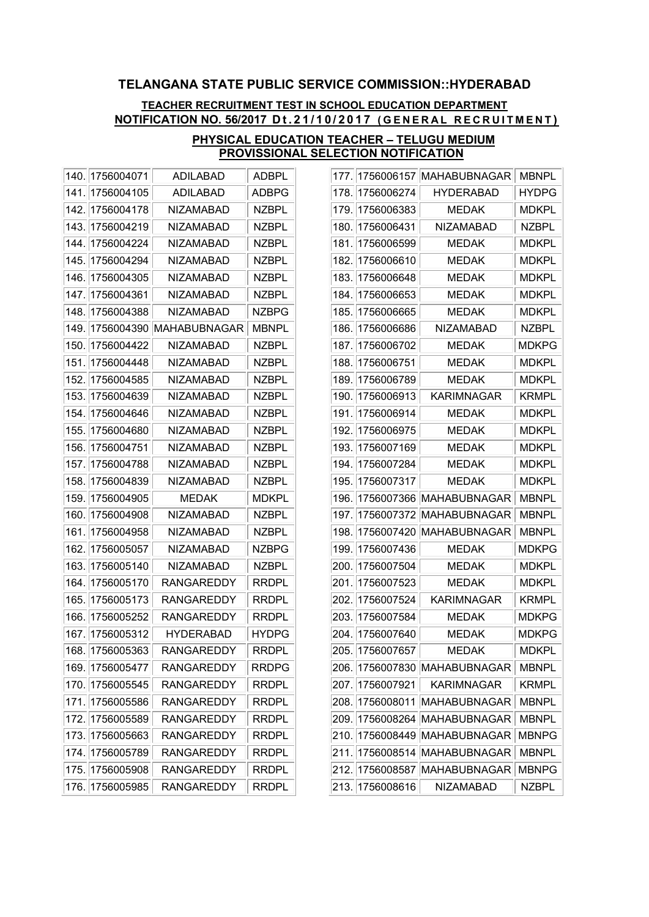### TEACHER RECRUITMENT TEST IN SCHOOL EDUCATION DEPARTMENT NOTIFICATION NO. 56/2017 Dt.21/10/2017 (GENERAL RECRUITMENT)

| 140. | 1756004071 | <b>ADILABAD</b>   | ADBPL        |
|------|------------|-------------------|--------------|
| 141. | 1756004105 | ADILABAD          | ADBPG        |
| 142. | 1756004178 | NIZAMABAD         | <b>NZBPL</b> |
| 143. | 1756004219 | NIZAMABAD         | <b>NZBPL</b> |
| 144. | 1756004224 | NIZAMABAD         | <b>NZBPL</b> |
| 145. | 1756004294 | NIZAMABAD         | <b>NZBPL</b> |
| 146. | 1756004305 | <b>NIZAMABAD</b>  | <b>NZBPL</b> |
| 147. | 1756004361 | NIZAMABAD         | NZBPL        |
| 148. | 1756004388 | <b>NIZAMABAD</b>  | <b>NZBPG</b> |
| 149. | 1756004390 | MAHABUBNAGAR      | <b>MBNPL</b> |
| 150. | 1756004422 | NIZAMABAD         | <b>NZBPL</b> |
| 151. | 1756004448 | NIZAMABAD         | <b>NZBPL</b> |
| 152. | 1756004585 | <b>NIZAMABAD</b>  | <b>NZBPL</b> |
| 153. | 1756004639 | <b>NIZAMABAD</b>  | <b>NZBPL</b> |
| 154. | 1756004646 | NIZAMABAD         | <b>NZBPL</b> |
| 155. | 1756004680 | NIZAMABAD         | NZBPL        |
| 156. | 1756004751 | <b>NIZAMABAD</b>  | <b>NZBPL</b> |
| 157. | 1756004788 | NIZAMABAD         | NZBPL        |
| 158. | 1756004839 | NIZAMABAD         | <b>NZBPL</b> |
| 159. | 1756004905 | <b>MEDAK</b>      | <b>MDKPL</b> |
| 160. | 1756004908 | NIZAMABAD         | <b>NZBPL</b> |
| 161. | 1756004958 | NIZAMABAD         | <b>NZBPL</b> |
| 162. | 1756005057 | NIZAMABAD         | <b>NZBPG</b> |
| 163. | 1756005140 | NIZAMABAD         | <b>NZBPL</b> |
| 164. | 1756005170 | RANGAREDDY        | <b>RRDPL</b> |
| 165. | 1756005173 | <b>RANGAREDDY</b> | <b>RRDPL</b> |
| 166. | 1756005252 | RANGAREDDY        | <b>RRDPL</b> |
| 167. | 1756005312 | HYDERABAD         | HYDPG        |
| 168. | 1756005363 | RANGAREDDY        | <b>RRDPL</b> |
| 169. | 1756005477 | <b>RANGAREDDY</b> | <b>RRDPG</b> |
| 170. | 1756005545 | <b>RANGAREDDY</b> | <b>RRDPL</b> |
| 171. | 1756005586 | <b>RANGAREDDY</b> | <b>RRDPL</b> |
| 172. | 1756005589 | <b>RANGAREDDY</b> | <b>RRDPL</b> |
| 173. | 1756005663 | <b>RANGAREDDY</b> | <b>RRDPL</b> |
| 174. | 1756005789 | <b>RANGAREDDY</b> | <b>RRDPL</b> |
| 175. | 1756005908 | <b>RANGAREDDY</b> | <b>RRDPL</b> |
| 176. | 1756005985 | <b>RANGAREDDY</b> | <b>RRDPL</b> |

| 177. | 1756006157 | <b>MAHABUBNAGAR</b> | <b>MBNPL</b> |
|------|------------|---------------------|--------------|
| 178. | 1756006274 | <b>HYDERABAD</b>    | <b>HYDPG</b> |
| 179. | 1756006383 | <b>MEDAK</b>        | <b>MDKPL</b> |
| 180. | 1756006431 | <b>NIZAMABAD</b>    | <b>NZBPL</b> |
| 181. | 1756006599 | <b>MEDAK</b>        | <b>MDKPL</b> |
| 182. | 1756006610 | <b>MEDAK</b>        | <b>MDKPL</b> |
| 183. | 1756006648 | <b>MEDAK</b>        | <b>MDKPL</b> |
| 184. | 1756006653 | <b>MEDAK</b>        | <b>MDKPL</b> |
| 185. | 1756006665 | <b>MEDAK</b>        | <b>MDKPL</b> |
| 186. | 1756006686 | NIZAMABAD           | <b>NZBPL</b> |
| 187. | 1756006702 | <b>MEDAK</b>        | <b>MDKPG</b> |
| 188. | 1756006751 | <b>MEDAK</b>        | <b>MDKPL</b> |
| 189. | 1756006789 | <b>MEDAK</b>        | <b>MDKPL</b> |
| 190. | 1756006913 | KARIMNAGAR          | <b>KRMPL</b> |
| 191. | 1756006914 | <b>MEDAK</b>        | <b>MDKPL</b> |
| 192. | 1756006975 | <b>MEDAK</b>        | <b>MDKPL</b> |
| 193. | 1756007169 | <b>MEDAK</b>        | <b>MDKPL</b> |
| 194. | 1756007284 | <b>MEDAK</b>        | <b>MDKPL</b> |
| 195. | 1756007317 | <b>MEDAK</b>        | <b>MDKPL</b> |
| 196. | 1756007366 | MAHABUBNAGAR        | <b>MBNPL</b> |
| 197. | 1756007372 | <b>MAHABUBNAGAR</b> | <b>MBNPL</b> |
| 198. | 1756007420 | <b>MAHABUBNAGAR</b> | <b>MBNPL</b> |
| 199. | 1756007436 | <b>MEDAK</b>        | <b>MDKPG</b> |
| 200. | 1756007504 | MEDAK               | <b>MDKPL</b> |
| 201. | 1756007523 | <b>MEDAK</b>        | <b>MDKPL</b> |
| 202. | 1756007524 | <b>KARIMNAGAR</b>   | <b>KRMPL</b> |
| 203. | 1756007584 | <b>MEDAK</b>        | <b>MDKPG</b> |
| 204. | 1756007640 | <b>MEDAK</b>        | <b>MDKPG</b> |
| 205. | 1756007657 | <b>MEDAK</b>        | <b>MDKPL</b> |
| 206. | 1756007830 | MAHABUBNAGAR        | <b>MBNPL</b> |
| 207. | 1756007921 | <b>KARIMNAGAR</b>   | <b>KRMPL</b> |
| 208. | 1756008011 | <b>MAHABUBNAGAR</b> | <b>MBNPL</b> |
| 209. | 1756008264 | MAHABUBNAGAR        | <b>MBNPL</b> |
| 210. | 1756008449 | MAHABUBNAGAR        | <b>MBNPG</b> |
| 211. | 1756008514 | <b>MAHABUBNAGAR</b> | <b>MBNPL</b> |
| 212. | 1756008587 | MAHABUBNAGAR        | <b>MBNPG</b> |
| 213. | 1756008616 | NIZAMABAD           | <b>NZBPL</b> |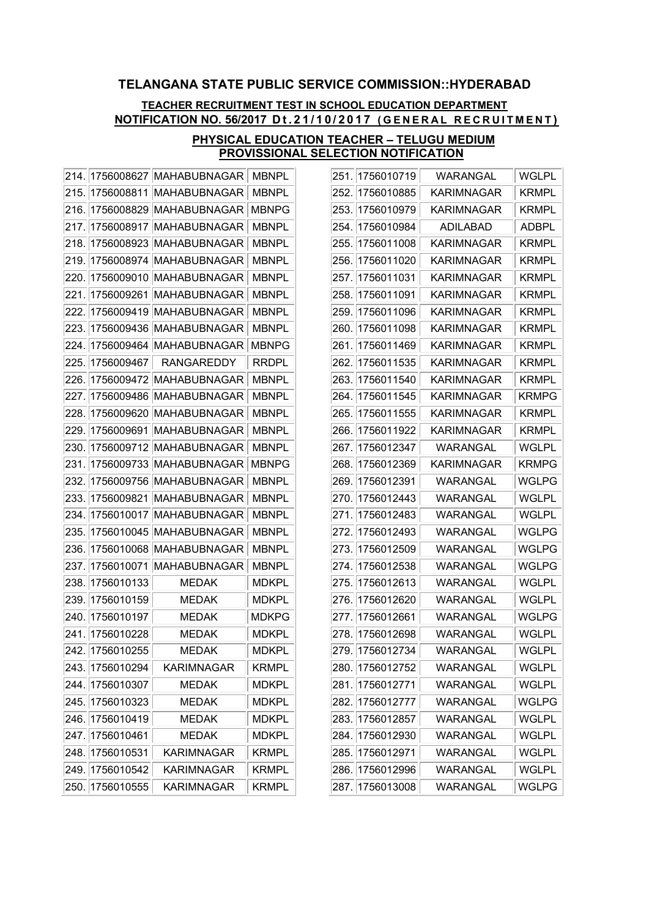### TEACHER RECRUITMENT TEST IN SCHOOL EDUCATION DEPARTMENT NOTIFICATION NO. 56/2017 Dt.21/10/2017 (GENERAL RECRUITMENT)

| 214. | 1756008627 | MAHABUBNAGAR        | MBNPL        |
|------|------------|---------------------|--------------|
| 215. | 1756008811 | MAHABUBNAGAR        | MBNPL        |
| 216. | 1756008829 | <b>MAHABUBNAGAR</b> | <b>MBNPG</b> |
| 217. | 1756008917 | <b>MAHABUBNAGAR</b> | <b>MBNPL</b> |
| 218. | 1756008923 | <b>MAHABUBNAGAR</b> | <b>MBNPL</b> |
| 219. | 1756008974 | <b>MAHABUBNAGAR</b> | <b>MBNPL</b> |
| 220. | 1756009010 | <b>MAHABUBNAGAR</b> | <b>MBNPL</b> |
| 221. | 1756009261 | <b>MAHABUBNAGAR</b> | <b>MBNPL</b> |
| 222. | 1756009419 | <b>MAHABUBNAGAR</b> | <b>MBNPL</b> |
| 223. | 1756009436 | <b>MAHABUBNAGAR</b> | <b>MBNPL</b> |
| 224. | 1756009464 | <b>MAHABUBNAGAR</b> | <b>MBNPG</b> |
| 225. | 1756009467 | RANGAREDDY          | RRDPL        |
| 226. | 1756009472 | MAHABUBNAGAR        | <b>MBNPL</b> |
| 227. | 1756009486 | <b>MAHABUBNAGAR</b> | <b>MBNPL</b> |
| 228. | 1756009620 | <b>MAHABUBNAGAR</b> | <b>MBNPL</b> |
| 229. | 1756009691 | <b>MAHABUBNAGAR</b> | <b>MBNPL</b> |
| 230. | 1756009712 | <b>MAHABUBNAGAR</b> | <b>MBNPL</b> |
| 231. | 1756009733 | <b>MAHABUBNAGAR</b> | <b>MBNPG</b> |
| 232. | 1756009756 | <b>MAHABUBNAGAR</b> | MBNPL        |
| 233. | 1756009821 | MAHABUBNAGAR        | <b>MBNPL</b> |
| 234. | 1756010017 | <b>MAHABUBNAGAR</b> | <b>MBNPL</b> |
| 235. | 1756010045 | MAHABUBNAGAR        | <b>MBNPL</b> |
| 236. | 1756010068 | <b>MAHABUBNAGAR</b> | <b>MBNPL</b> |
| 237. | 1756010071 | <b>MAHABUBNAGAR</b> | <b>MBNPL</b> |
| 238. | 1756010133 | MEDAK               | MDKPL        |
| 239. | 1756010159 | <b>MEDAK</b>        | <b>MDKPL</b> |
| 240. | 1756010197 | <b>MEDAK</b>        | <b>MDKPG</b> |
| 241. | 1756010228 | MEDAK               | <b>MDKPL</b> |
| 242. | 1756010255 | <b>MEDAK</b>        | <b>MDKPL</b> |
| 243. | 1756010294 | <b>KARIMNAGAR</b>   | <b>KRMPL</b> |
| 244. | 1756010307 | <b>MEDAK</b>        | <b>MDKPL</b> |
| 245. | 1756010323 | <b>MEDAK</b>        | <b>MDKPL</b> |
| 246. | 1756010419 | <b>MEDAK</b>        | <b>MDKPL</b> |
| 247. | 1756010461 | <b>MEDAK</b>        | <b>MDKPL</b> |
| 248. | 1756010531 | <b>KARIMNAGAR</b>   | <b>KRMPL</b> |
| 249. | 1756010542 | <b>KARIMNAGAR</b>   | <b>KRMPL</b> |
| 250. | 1756010555 | KARIMNAGAR          | <b>KRMPL</b> |

| 251. | 1756010719      | WARANGAL   | <b>WGLPL</b> |
|------|-----------------|------------|--------------|
| 252. | 1756010885      | KARIMNAGAR | <b>KRMPL</b> |
| 253. | 1756010979      | KARIMNAGAR | <b>KRMPL</b> |
| 254. | 1756010984      | ADILABAD   | <b>ADBPL</b> |
| 255. | 1756011008      | KARIMNAGAR | <b>KRMPL</b> |
| 256. | 1756011020      | KARIMNAGAR | <b>KRMPL</b> |
| 257. | 1756011031      | KARIMNAGAR | <b>KRMPL</b> |
| 258. | 1756011091      | KARIMNAGAR | <b>KRMPL</b> |
| 259. | 1756011096      | KARIMNAGAR | <b>KRMPL</b> |
| 260. | 1756011098      | KARIMNAGAR | <b>KRMPL</b> |
| 261. | 1756011469      | KARIMNAGAR | <b>KRMPL</b> |
| 262. | 1756011535      | KARIMNAGAR | <b>KRMPL</b> |
| 263. | 1756011540      | KARIMNAGAR | <b>KRMPL</b> |
| 264. | 1756011545      | KARIMNAGAR | <b>KRMPG</b> |
| 265. | 1756011555      | KARIMNAGAR | <b>KRMPL</b> |
| 266. | 1756011922      | KARIMNAGAR | <b>KRMPL</b> |
| 267. | 1756012347      | WARANGAL   | WGLPL        |
| 268. | 1756012369      | KARIMNAGAR | <b>KRMPG</b> |
| 269. | 1756012391      | WARANGAL   | WGLPG        |
| 270. | 1756012443      | WARANGAL   | WGLPL        |
| 271. | 1756012483      | WARANGAL   | WGLPL        |
| 272. | 1756012493      | WARANGAL   | WGLPG        |
| 273. | 1756012509      | WARANGAL   | WGLPG        |
| 274. | 1756012538      | WARANGAL   | WGLPG        |
| 275. | 1756012613      | WARANGAL   | WGLPL        |
| 276. | 1756012620      | WARANGAL   | <b>WGLPL</b> |
| 277. | 1756012661      | WARANGAL   | WGLPG        |
| 278. | 1756012698      | WARANGAL   | WGLPL        |
| 279  | 1756012734      | WARANGAL   | WGLPL        |
|      | 280. 1756012752 | WARANGAL   | <b>WGLPL</b> |
|      | 281. 1756012771 | WARANGAL   | <b>WGLPL</b> |
|      | 282. 1756012777 | WARANGAL   | WGLPG        |
|      | 283. 1756012857 | WARANGAL   | <b>WGLPL</b> |
| 284. | 1756012930      | WARANGAL   | <b>WGLPL</b> |
|      | 285. 1756012971 | WARANGAL   | WGLPL        |
| 286. | 1756012996      | WARANGAL   | <b>WGLPL</b> |
| 287. | 1756013008      | WARANGAL   | <b>WGLPG</b> |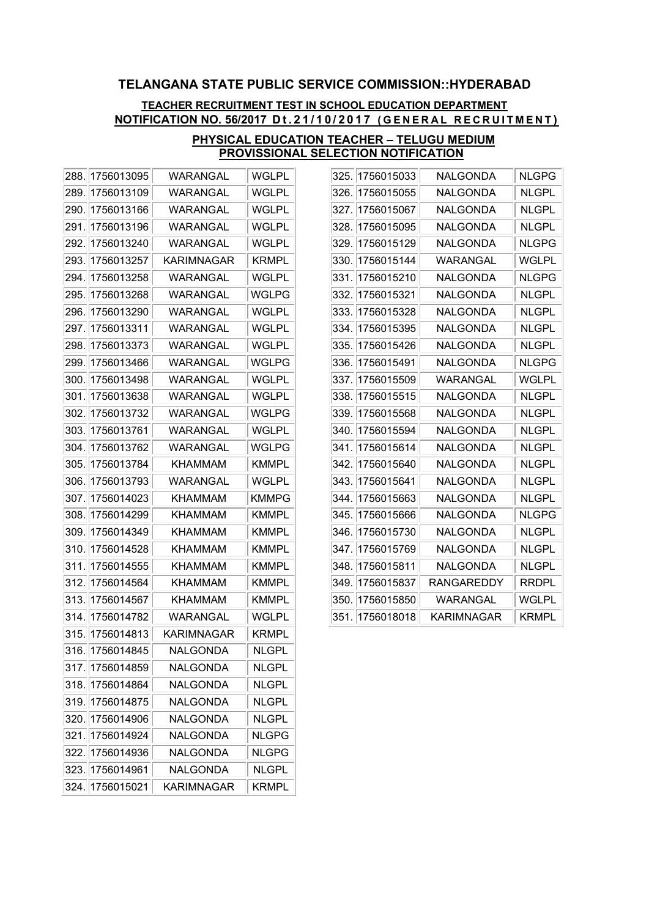### TEACHER RECRUITMENT TEST IN SCHOOL EDUCATION DEPARTMENT NOTIFICATION NO. 56/2017 Dt.21/10/2017 (GENERAL RECRUITMENT)

| 288. | 1756013095 | WARANGAL        | WGLPL        |
|------|------------|-----------------|--------------|
| 289. | 1756013109 | WARANGAL        | WGLPL        |
| 290. | 1756013166 | WARANGAL        | WGLPL        |
| 291. | 1756013196 | WARANGAL        | WGLPL        |
| 292. | 1756013240 | WARANGAL        | WGLPL        |
| 293. | 1756013257 | KARIMNAGAR      | <b>KRMPL</b> |
| 294. | 1756013258 | WARANGAL        | WGLPL        |
| 295. | 1756013268 | WARANGAL        | WGLPG        |
| 296. | 1756013290 | WARANGAL        | WGLPL        |
| 297. | 1756013311 | WARANGAL        | WGLPL        |
| 298. | 1756013373 | WARANGAL        | WGLPL        |
| 299. | 1756013466 | WARANGAL        | WGLPG        |
| 300. | 1756013498 | WARANGAL        | WGLPL        |
| 301. | 1756013638 | WARANGAL        | WGLPL        |
| 302. | 1756013732 | WARANGAL        | WGLPG        |
| 303. | 1756013761 | WARANGAL        | WGLPL        |
| 304. | 1756013762 | WARANGAL        | WGLPG        |
| 305. | 1756013784 | KHAMMAM         | KMMPL        |
| 306. | 1756013793 | WARANGAL        | WGLPL        |
| 307. | 1756014023 | <b>KHAMMAM</b>  | <b>KMMPG</b> |
| 308. | 1756014299 | KHAMMAM         | KMMPL        |
| 309. | 1756014349 | KHAMMAM         | KMMPL        |
| 310. | 1756014528 | <b>KHAMMAM</b>  | <b>KMMPL</b> |
| 311. | 1756014555 | <b>KHAMMAM</b>  | KMMPL        |
| 312. | 1756014564 | <b>KHAMMAM</b>  | KMMPL        |
| 313. | 1756014567 | KHAMMAM         | <b>KMMPL</b> |
| 314. | 1756014782 | WARANGAL        | WGLPL        |
| 315. | 1756014813 | KARIMNAGAR      | <b>KRMPL</b> |
| 316. | 1756014845 | NALGONDA        | <b>NLGPL</b> |
| 317. | 1756014859 | NALGONDA        | <b>NLGPL</b> |
| 318. | 1756014864 | <b>NALGONDA</b> | <b>NLGPL</b> |
| 319. | 1756014875 | NALGONDA        | <b>NLGPL</b> |
| 320. | 1756014906 | NALGONDA        | <b>NLGPL</b> |
| 321. | 1756014924 | NALGONDA        | NLGPG        |
| 322. | 1756014936 | NALGONDA        | NLGPG        |
| 323. | 1756014961 | NALGONDA        | <b>NLGPL</b> |
| 324. | 1756015021 | KARIMNAGAR      | <b>KRMPL</b> |

| 325. | 1756015033 | NALGONDA   | <b>NLGPG</b> |
|------|------------|------------|--------------|
| 326. | 1756015055 | NALGONDA   | <b>NLGPL</b> |
| 327. | 1756015067 | NALGONDA   | <b>NLGPL</b> |
| 328. | 1756015095 | NALGONDA   | <b>NLGPL</b> |
| 329. | 1756015129 | NALGONDA   | <b>NLGPG</b> |
| 330. | 1756015144 | WARANGAL   | WGLPL        |
| 331. | 1756015210 | NALGONDA   | NLGPG        |
| 332. | 1756015321 | NALGONDA   | <b>NLGPL</b> |
| 333. | 1756015328 | NALGONDA   | <b>NLGPL</b> |
| 334. | 1756015395 | NALGONDA   | <b>NLGPL</b> |
| 335. | 1756015426 | NALGONDA   | <b>NLGPL</b> |
| 336. | 1756015491 | NALGONDA   | <b>NLGPG</b> |
| 337. | 1756015509 | WARANGAL   | WGLPL        |
| 338. | 1756015515 | NALGONDA   | NLGPL        |
| 339. | 1756015568 | NALGONDA   | <b>NLGPL</b> |
| 340. | 1756015594 | NALGONDA   | <b>NLGPL</b> |
| 341. | 1756015614 | NALGONDA   | NLGPL        |
| 342. | 1756015640 | NALGONDA   | <b>NLGPL</b> |
| 343. | 1756015641 | NALGONDA   | <b>NLGPL</b> |
| 344. | 1756015663 | NALGONDA   | <b>NLGPL</b> |
| 345. | 1756015666 | NALGONDA   | NLGPG        |
| 346. | 1756015730 | NALGONDA   | <b>NLGPL</b> |
| 347. | 1756015769 | NALGONDA   | <b>NLGPL</b> |
| 348. | 1756015811 | NALGONDA   | <b>NLGPL</b> |
| 349. | 1756015837 | RANGAREDDY | <b>RRDPL</b> |
| 350. | 1756015850 | WARANGAL   | WGLPL        |
| 351. | 1756018018 | KARIMNAGAR | KRMPL        |